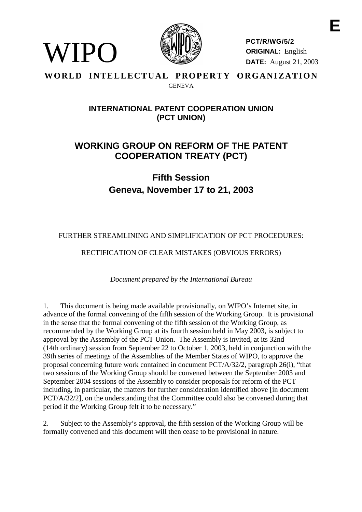

**PCT/R/WG/5/2 ORIGINAL:** English **DATE:** August 21, 2003

#### **WORLD INTELLECTUAL PROPERTY ORGANIZATION** GENEVA

WIPO

### **INTERNATIONALPATENT COOPERATIONUNION (PCT UNION)**

# **WORKING GROUP ON REF ORM OF THE PATENT COOPERATION TREATY ( PCT)**

**Fifth Session Geneva, No vember 17 to 21, 2003**

FURTHER STREAMLINING AND SIMPLIFICATION OF PCTPROCEDURES:

RECTIFICATION OF CLEARMISTAKES (OBVIOUS ERRORS)

*Document prepared by the International Bureau*

1. This document is being made available provisionally, on WIPO's Internet site, in advance of the formal convening of the fifth session of the Working Group. It is provisional in the sense that the formal convening of the fifth session of the Working Group, as recommended by the Working Group at its fourth s ession held in May 2003, is subject to approval by the Assembly of the PCT Union. The Assembly is invited, at its 32nd (14th ordinary) session from September 22 to October 1, 2003, held in conjunction with the 39th series of meetings of the Assemblies of the Member States of WIPO, to approve the proposal concerning future work contained indocument  $PCT/A/32/2$ , paragraph  $26(i)$ , "that two sessions of the Working Group should be convened between the September 2003 and September 2004 sessions of the Assembly to consider proposals for reform of the PCT including, inparticular, the matters for further consideration identified above [indocument PCT/A/32/2], on the understanding that the Committee could also be convened during that periodif the Working Group fel tit to be necessary."

2. Subject to the Assembly's approval, the fifth session of the Working Group will be formally convened and this document will then cease to be provisional innature.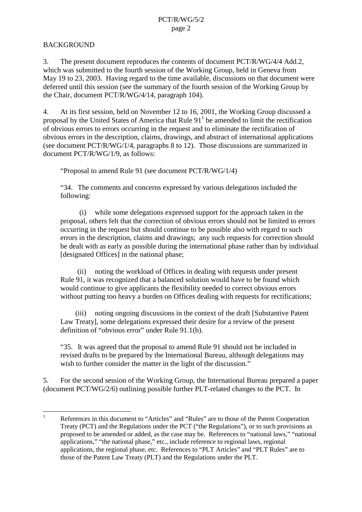#### BACKGROUND

3. The present document reproduces the contents of document PCT/R/WG/4/4 Add.2, which was submitted to the fourth session of the Working Group, held in Geneva from May 19to 23, 2003. Having regard to the time available, discussions on that document were deferred until this session (see the summary of the fourth session of the Working Group by the Chair, document PCT/R/WG/4/14, paragraph 104).

4. At its first session, held on November 12 to 16,2001, the Working Group discussed a proposal by the United States of America that Rule  $91<sup>1</sup>$ beamended to limit the rectification of obvious errors to errors occurring in the request and to eliminate the rectification of obvious errors in the description, claims, drawings, and abstract of interna tional applications (seedocument  $PCT/R/WG/1/4$ , paragraphs 8to 12). Those discussions are summarized in document PCT/R/WG/1/9, as follows:

"ProposaltoamendRule91(seedocumentPCT/R/WG/1/4)

"34. The comments and concerns expressed by various delega tions included the following:

(i) while some delegations expressed support for the approach taken in the proposal, others felt that the correction of obvious errors should not be limited to errors occurring in the request but should continue to be possib lealso with regard to such a lead to such a lead to such a lead to such a lead to such a lead to such a lead to such a lead to such a lead to such a lead to such a errors in the description, claims and drawings; any such requests for correction should be dealt with as early as possible during the international phase rather than by individual [designated Offices] in the national phase;

(ii) noting the workload of Offices indealing with request sunder present Rule 91, it was recognized that a balanced solution would have to be found which would continue to give applicants the flexibility needed to correct obvious errors without putting to o heavy aburden on Offices dealing with requests for rectifications;

(iii) noting ongoing discussions in the context of the draft [Substantive Patent Law Treaty], some delegations expressed their desire for a review of the present definition of "obvious error" under Rule 91.1(b).

"35. It was agreed that the proposal to amend Rule 91 should not be included in revised drafts to be prepared by the International Bureau, although delegations may wish to further consider the matter in the light of the discuss ion."

5. For the second session of the Working Group, the International Bureau prepared a paper (document PCT/WG/2/6) outlining possible further PLT -related changes to the PCT. In

<sup>&</sup>lt;sup>1</sup> References in this document to "Articles" and "Rules" are to those of the Patent Cooperation Treaty (PCT) and the Regulations under the PCT ("the Regulations"), or to such provisions as proposed to be amended or added, as the case may be. References to "national laws," "national applications," "the national phase," etc., include reference to regional laws, regional applications, the regional phase, etc. References to "PLTArticles" and "PLTRules" are to those of the Patent Law Treaty (PLT) and the Regulations under the PLT.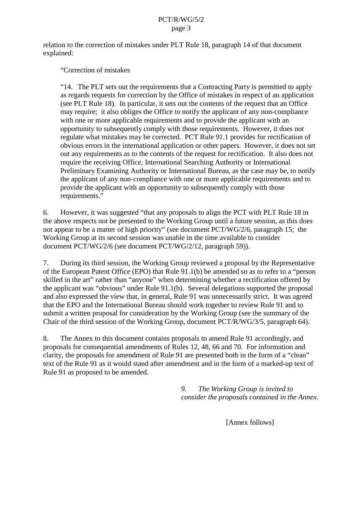#### PCT/R/WG/5/2 page 3

relation to the correction of mistakes under PLTR ule 18, paragraph 14 of that document explained:

"Correction of mistakes

"14. The PLT sets out the requirements that a Contracting Party is permitted to apply as regards requests for correction by the Office of mistakes in respect of an application (see PLTRule 18). Inparticular, it sets out the contents of the request that an Office may require; it also obliges the Office to notify the applicant of any non -compliance with one or more applicable requirements and to provide the applicant with an opportunity to subsequently comply with those requirements. However, it does not regulate what mistakes may be corrected. PCTRule 91.1 provides for rectification of obvious errors in the international application or other papers. However, it does not set out any requirements as to the contents of the request for rectification. It also does not require the receiving Office, International Searching Authority or International Preliminary Examining Authority or International Bureau, as the case may be, to notify the applicant of any non -compliance with one or more applicable requirements and to provide the applicant with an opportunity to subsequently comply with those requirements."

6. However, it was uggested "that any proposal stoal inter-section proposed to all gnthe PCT with PLT Rule 18 in the above respects not be presented to the Working Group until a future session, as this does not appear to be a matter of high priority" (seed ocument PCT/WG/2/6, paragraph 15; the Working Group at its second session was un able in the time available to consider document PCT/WG/2/6 (seedocument PCT/WG/2/12, paragraph 59)).

7. During its third session, the Working Group reviewed a proposal by the Representative of the European Patent Office (EPO) that Rule 91.1(b) be amended so as to refer to a "person skilled in the art" rather than "anyone" when determining whether are ctification offered by the applicant was "obvious" under Rule 91.1(b). Several delegations supported the proposal and also expressed the view that, in general, Rule 91 was unnecessarily strict. It was agreed that the EPO and the International Bureau should work to gether to review Rule 91 and to submit a written proposal for consideration by the Working Group (see the summary of the Chair of the third session of the Working Group, document PCT/R/WG/3/5, paragraph 64).

8. The Annex to this document contains proposals to amend Rule 91 accordingly, and proposals for consequential amendments of Rules 12,48,66 and 70. For information and clarity, the proposals for amendment of Rule 91 are presented both in the form of a "clean" text of the Rule 91 as it would stand after amendment and in the form of a marked -up text of Rule91 as proposed to be amended.

> *9. The Working Group is invited to consider the proposals contained in the Annex.*

> > [Annexfollows]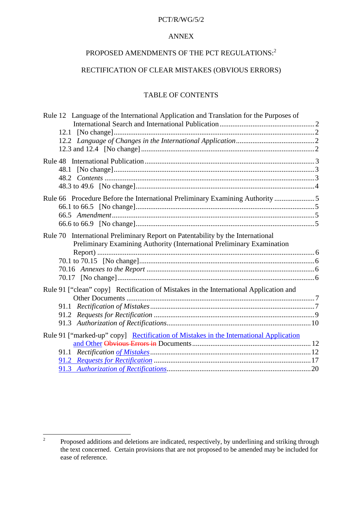#### PCT/R/WG/5/2

#### ANNEX

## PROPOSED AMENDMENTS OF THE PCT REGULATIONS:  $^{\,2}$

#### RECTIFICATION OF CLE ARMISTAKES (OBVIOUS ERRORS)

#### **TABLEOFCONTENTS**

| Rule12LanguageoftheInternationalApplicationandTranslationforthePurposesof                                                                                                                        |  |
|--------------------------------------------------------------------------------------------------------------------------------------------------------------------------------------------------|--|
|                                                                                                                                                                                                  |  |
|                                                                                                                                                                                                  |  |
|                                                                                                                                                                                                  |  |
|                                                                                                                                                                                                  |  |
|                                                                                                                                                                                                  |  |
| 48.1                                                                                                                                                                                             |  |
|                                                                                                                                                                                                  |  |
|                                                                                                                                                                                                  |  |
| Rule66ProcedureBeforetheInternationalPreliminaryExaminingAuthority manufactureBeforetheInternationalPreliminaryExaminingAuthority manufactureBeforetheInternationalPreliminaryExaminingAuthority |  |
|                                                                                                                                                                                                  |  |
|                                                                                                                                                                                                  |  |
|                                                                                                                                                                                                  |  |
| Rule70InternationalPreliminaryReportonPatentabilitybytheInternational<br>PreliminaryExaminingAuthority(International PreliminaryExamination                                                      |  |
|                                                                                                                                                                                                  |  |
|                                                                                                                                                                                                  |  |
|                                                                                                                                                                                                  |  |
|                                                                                                                                                                                                  |  |
| Rule91["clean"copy ]RectificationofMistakesintheInternationalApplicationand                                                                                                                      |  |
|                                                                                                                                                                                                  |  |
|                                                                                                                                                                                                  |  |
|                                                                                                                                                                                                  |  |
|                                                                                                                                                                                                  |  |
| Rule91["marked -up"copy] RectificationofMistakesintheInternationalApplication                                                                                                                    |  |
|                                                                                                                                                                                                  |  |
| 91.1                                                                                                                                                                                             |  |
|                                                                                                                                                                                                  |  |
|                                                                                                                                                                                                  |  |
|                                                                                                                                                                                                  |  |

<sup>&</sup>lt;sup>2</sup> Proposed additions and deletions are indicated, respectively, by underlining and striking through the text concerne d. Certain provisions that are not proposed to be amended may be included for ease of reference.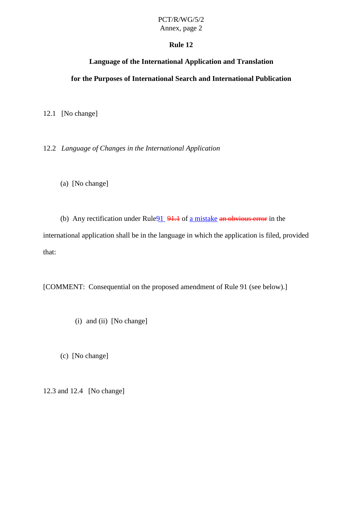# PCT/R/WG/5/2

Annex, page 2

#### **Rule 12**

#### **Language of the International Application and Translation**

#### <span id="page-4-0"></span>**for the Purposes of Inte rnational Search and International Publication**

12.1 [Nochange]

12.2 *Language of Changes in the International Application*

(a) [Nochange]

(b) Any rectification under Rule 91.1 of a mistake an obvious error-in the international application shall be in the language in which the application is filed, provided that:

[COMMENT:Consequential on the proposed amendment of Rule 91 (see below).]

 $(i)$  and  $(ii)$  [No change]

(c) [Nochange]

12.3 and 12.4 [No change]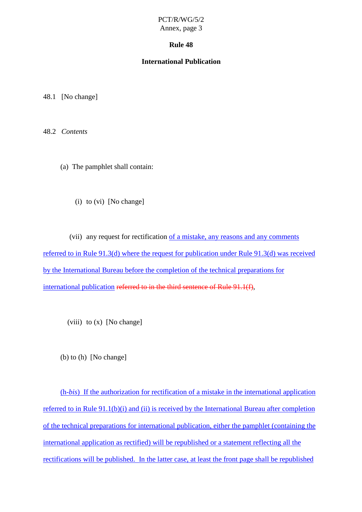#### **Rule 48**

#### **International Publication**

<span id="page-5-0"></span>48.1 [Nochange]

48.2 *Contents*

(a) The pamphlet shall contain:

(i) to (vi) [No change]

(vii) any request for rectification of a mistake, any reasons and any comments referred to in Rule 91.3(d) where the request for publication under Rule 91.3(d) wa sreceived by the International Bureau before the completion of the technical preparations for international publication referred to inthe third sentence of Rule 91.1(f) , ,

 $(viii) to (x)$  [No change]

 $(b)$  to  $(h)$  [No change]

(h-*bis*) If the authorization for rectification of a mistake in the international application referred to in Rule 91.1(b)(i) and (ii) is received by the International Bureau after completion of the technical preparations for international publication, either the pamphlet (containing the e international application as rectified) will be republished or a statement reflecting all the rectifications will be published. In the latter case, at least the front page shall be republished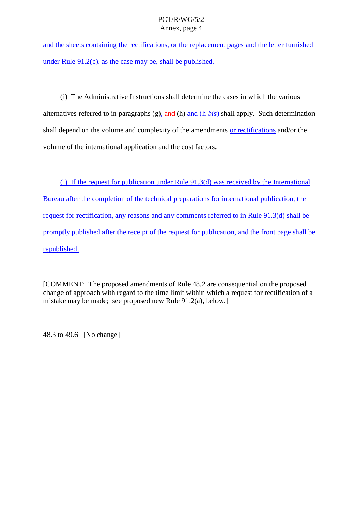<span id="page-6-0"></span>and the sheets containing the rectifications, or the replace ment pages and the letter furnished under Rule  $91.2(c)$ , as the case may be, shall be published.

(i) The Administrative Instructions shall determine the cases in which the various alternatives referred to inparagraphs (g)  $\frac{1}{2}$  and (h) and (h -*bis*) shall apply . Such determination shall depend on the volume and complexity of the amendments or rectifications and/or the volume of the international application and the cost factors.

(i) If the request for publication under Rule 91.3(d) was received by the Interna tional Bureau after the completion of the technical preparations for international publication, the request for rectification, any reasons and any comments referred to in Rule 91.3(d) shall be promptly published after the receipt of the request for publica tion, and the front page shall be republished.

[COMMENT:The proposed amendments of Rule 48.2 are consequential on the proposed change of approach with regard to the time limit within which a request for rectification of a mistake may be made; see propos ednew Rule 91.2(a), below.

48.3 to 49.6 [No change]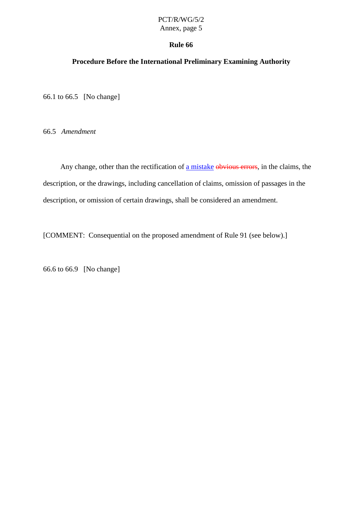# PCT/R/WG/5/2

## Annex, page 5

#### **Rule 66**

#### <span id="page-7-0"></span>**Procedure Before the International Preliminary Examining Authority**

66.1 to 66.5 [No change]

66.5 *Amendment*

Any change, other than the rectification of a mistake obvious errors, in the claims, the description, orthedrawings, including cancellation of claims, omission of passages in the description, or omission of certain drawings, shall be considered an amendment.

[COMMENT:Consequential on the proposed amendment of Rule 91 (see below) .]

66.6 to 66.9 [Nochange]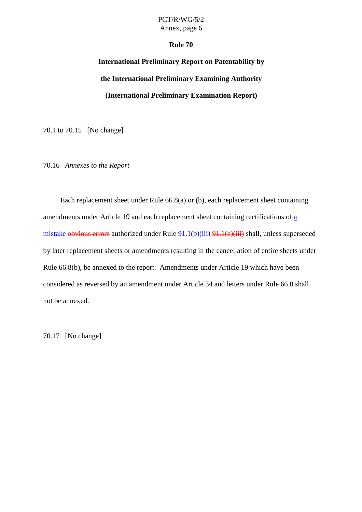#### **Rule 70**

# <span id="page-8-0"></span>International Preliminary Report on Patentability by **the International Preliminary Examining Authority (International Preliminary Examination Report)**

70.1to 70.15 [No change]

70.16 *Annexes to the Report*

Eachre placement sheet under Rule 66.8(a) or (b), each replacement sheet containing amendments under Article 19 and each replacement sheet containing rectifications of a mistake obvious errors authorized under Rule  $91.1(b)(iii) 91.1(e)(iii)$  shall, unless supersed ed by later replacement sheets or amendments resulting in the cancellation of entire sheets under Rule 66.8(b), be annexed to the report. Amendments under Article 19 which have been considered as reversed by an amendment under Article 34 and letters under Rule 66.8 shall not beannexed.

70.17 [Nochange]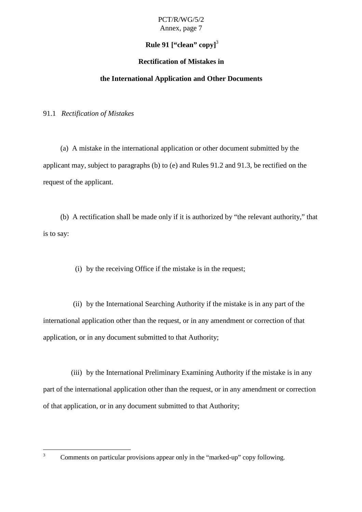## Rule91["clean" copy]<sup>3</sup>

#### **Rectification of Mistakes in**

#### **the International Application and Other Documents**

<span id="page-9-0"></span>91.1 *Rectification of Mistakes*

(a) A mistake in the international application or other docume nt submitted by the applicant may, subject to paragraphs (b) to (e) and Rules 91.2 and 91.3, be rectified on the request of the applicant.

(b) A rectification shall be made only if it is authorized by "the relevant authority," that istosay:

(i) by the receiving Office if the mistake is in the request;

(ii) by the International Searching Authority if the mistake is in any part of the international application other than the request, or in any amendment or correction of that application, or in any docum entsubmitted to that Authority;

(iii) by the International Preliminary Examining Authority if the mistake is in any part of the international application other than the request, or in any amendment or correction of that application, or in any document su bmitted to that Authority;

<sup>&</sup>lt;sup>3</sup> Comments on particular provisions appear only in the "marked -up" copy following.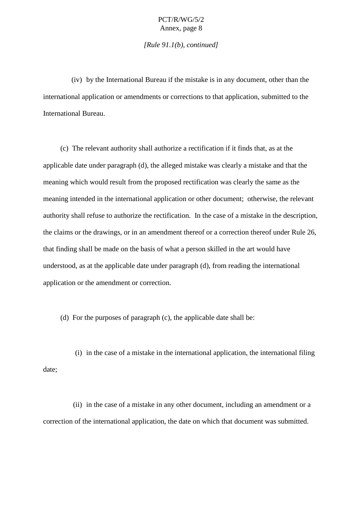*[Rule 91.1(b), continued]*

(iv) by the International Bureau if the mistake is in any document, other than the international application or amendments or corrections to that application, submitted to the International Bureau.

(c) The relevant authority shall authorize are ctification if it finds that, as at the applicabledate under paragraph (d), the alleged mistake was clearly a mistake and that the meaning which would result from the proposed rectification was clearly the same as the meaning intended in the international application or other document; otherwise, the relevant authority shall refuse to authorize the rectification. In the case of a mistake in the description, the claims or the drawings, orinanamendment thereo for a correction thereof under Rule 26, that findingshall be made on the basis of what a personskilled in the art would have understood, as at the applicable date under paragraph (d), from reading the international application or the amendment or correc tion.

(d) For the purposes of paragraph  $(c)$ , the applicable date shall be:

(i) in the case of a mistake in the international application, the international filing date;

(ii) in the case of a mistake in any other document, including an amendment or a correction of the international application, the date on which that document was submitted.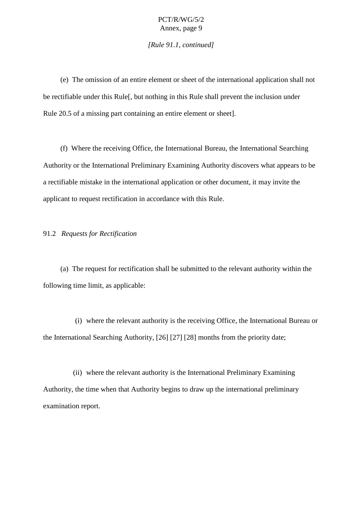*[Rule 91.1, continued]*

<span id="page-11-0"></span>(e) The omission of an entire element or sheet of the international applicationshall not berectifiable under this Rule [, but nothing in thi sRule shall prevent the inclusion under Rule 20.5 of a missing part containing an entire element or sheet].

(f) Where the receiving Office, the International Bureau, the International Searching Authority or the International Preliminary Examining Author ity discovers what appears to be arectifiable mistake in the international application or other document, it may invite the applicant to request rectification in accordance with this Rule.

#### 91.2 *Requests for Rectification*

(a) The request for rectificat ionshall be submitted to the relevant authority within the following time limit, as applicable:

(i) where the relevant authority is the receiving Office, the International Bureau or the International Searching Authority, [26] [27] [28] months from the pr iority date;

(ii) where the relevant authority is the International Preliminary Examining Authority, the time when that Authority begins to draw up the international preliminary examination report.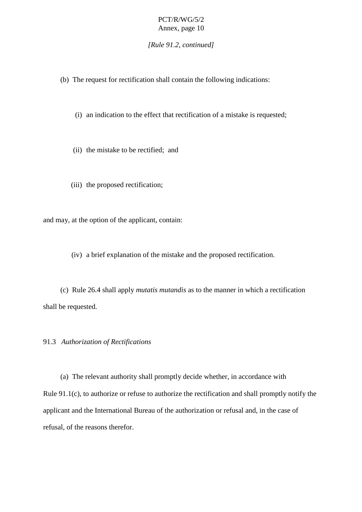*[Rule 91.2, continued]*

<span id="page-12-0"></span>(b) The request for rectificatio nshall contain the following indications:

(i) anindication to the effect that rectification of a mistake is requested;

(ii) the mistake to be rectified; and

(iii) the proposed rectification;

and may, at the option of the applicant, contain:

(iv) ab rief explanation of the mistake and the proposed rectification.

(c) Rule 26.4 shall apply *mutatis mutandis* as to the manner in which are ctification shallberequested.

91.3 *Authorization of Rectifications*

(a) The relevant authority shall promptly de cide whether, in accordance with Rule 91.1(c), to authorize or refuse to authorize the rectification and shall promptly notify the applicant and the International Bureau of the authorization or refusal and, in the case of refusal, of the reasons therefor.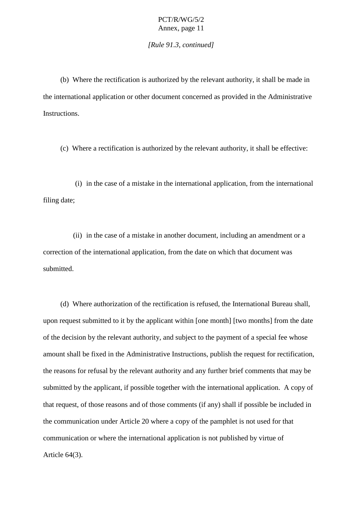*[Rule 91.3, continued]*

(b) Where the rectification is authorized by the relevant authority, it shall be made in the international application or other document concerned as provided in the Administrative Instructions.

(c) Where a rectification is autho rized by the relevant authority, it shall be effective:

(i) in the case of a mistake in the international application, from the international filing date;

(ii) in the case of a mistake in another document, including an amendment or a correction of the in ternational application, from the date on which that document was submitted.

(d) Where authorization of the rectification is refused, the International Bureau shall, upon request submitted to it by the applicant within [one month] [two months] from the d ate of the decision by the relevant authority, and subject to the payment of a special fee whose amount shall be fixed in the Administrative Instructions, publish the request for rectification, the reasons for refusal by the relevant authority and any furt her brief comments that may be submitted by the applicant, if possible to gether with the international application. A copy of that request, of those reasons and of those comments (if any) shall if possible beincluded in the communication under Article 20 where a copy of the pamphlet is not used for that communication or where the international application is not published by virtue of Article 64(3).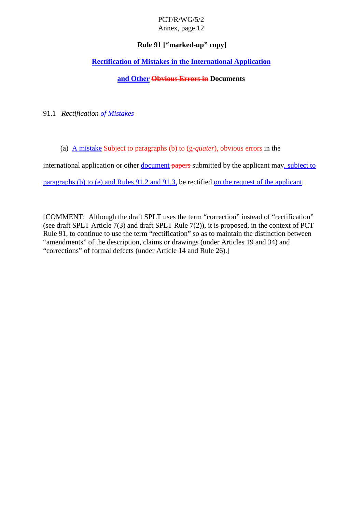# PCT/R/WG/5/2

### Annex, page 12

#### **Rule 91 ["marked -up" copy]**

#### <span id="page-14-0"></span>**Rectification of Mistakes in the International Application**

#### **and Other Obvious Errorsin** Documents

91.1 *Rectification of Mistakes*

(a) **Amistake Subjecttoparagraphs**(b)to(g -quater), obvious errors in the

international application or other document papers submitted by the applicant may , subject to

paragraphs  $(b)$  to  $(e)$  and  $Rule S91.2$  and  $91.3$ , be rectified on the request of the applicant.

[COMMENT:AlthoughthedraftSPLTusestheterm "correction" instead of "rectification" (seedraft SPLT Article 7(3) and draft SPLT Rule  $7(2)$ ), it is proposed, in the context of PCT Rule 91, t ocontinue to use the term "rectification" so as to maintain the distinction between "amendments" of the description, claims or drawings (under Articles 19 and 34) and "corrections" of formal defects (under Article 14 and Rule 26).]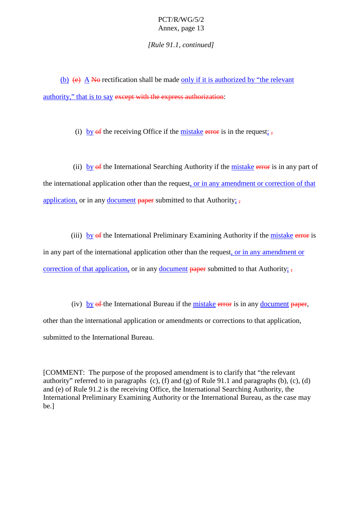*[Rule 91.1, continued]*

(b)  $(e)$  A Nonectification shall be made only if it is authorized by "the relevant" authority," that is to say except with the express authorization :

(i) by  $\theta$  of the receiving Office if the mistake errorisin the request ;  $\frac{1}{2}$ 

(ii) by  $\theta$ fthe International Searching Authority if the mistake errorisinany part of the international application other than the request critical spendment or correction of that application, or in any document papersubmitted to that Authority ;  $\frac{1}{2}$ ;

(iii) by of the International P reliminary Examining Authority if the mistake erroris in any part of the international application other than the request correspondent or in any amendment or correction of that application, orinany document papersub mitted to that Authority ;  $\frac{1}{2}$ ;

(iv) by  $\theta$  the International Bureau if the mistake errorisinany document paper, other than the international application or amendments or corrections to that application, submitted to the International Bureau.

[COMMENT:The purpose of the proposed amendment is to clarify that "the relevant" authority" referred to in paragraphs  $(c)$ ,  $(f)$  and  $(g)$  of Rule 91.1 and paragraphs  $(b)$ ,  $(c)$ ,  $(d)$ and(e) of Rule 91.2 is the receiving Office, the International Searching Authority, the International Preliminary Examining Authority or the electron electronal Bureau, as the case may be.]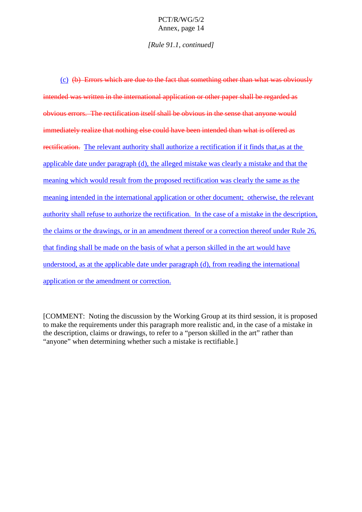#### *[Rule 91.1, continued]*

| (c) (b) Errorswhichareduetothefactthatsomethingotherthanwhatwasobviously              |
|---------------------------------------------------------------------------------------|
| intendedwaswrittenintheinternationalapplicationorotherpapershallberegardedas          |
| obviouse rrors. Therectificationitselfshallbeobviousinthesensethatanyonewould         |
| immediatelyrealizethatnothingelsecouldhavebeenintendedthanwhatisofferedas             |
| rectification. Therelevantauthorityshallauthorizearectificationifitfindsthatasatthe   |
| applicabledateunderparagraph(d),theallegedmistakewasclearlyamistakeandthatthe         |
| meaningwhichwouldresultfromtheproposedrectificationwasclearlythesameasthe             |
| meaningintendedintheinternationalapplicationorotherdocumen t;otherwise,therelevant    |
| authorityshallrefusetoauthorizetherectification.Inthecaseofamistakeinthedescription,  |
| theclaimsorthedrawings,orinanamendmentthereoforacorrectionthereofunderRule26,         |
| that findings hall be made on the<br>basisofwhatapersonskilledintheartwouldhave       |
| understood, asatthe applicabled at eunderparagraph(d), from reading the international |
| applicationortheamendmentorcorrection.                                                |

[COMMENT: Noting the discussion by the Working Group at its hirds ession, it is proposed to make the requirements under this paragraph more realistic and, in the case of a mistake in the description, claims or drawings, to refer to a "person skilled in the art" rather than "anyone" when determining whether such amistake is rectifiable.] "anyone" when determining whether such a mistake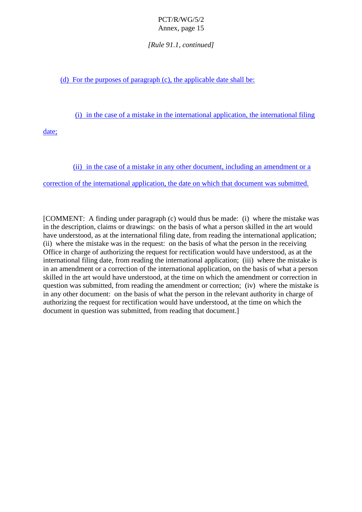*[Rule 91.1, continued]*

 $(d)$  Forthe purposes of paragraph  $(c)$ , the applicable date shall be:

(i) in the case of a mistake in the international application, the international filing

date;

(ii) in the case of a mistake in any other docum ent, including an amendment or a

correction of the international application, the date on which that document was submitted.

[COMMENT: A finding under paragraph (c) would thus be made: (i) where the mistake was in the description, claims or drawings: o nthe basis of what a person skilled in the art would have understood, as at the international filing date, from reading the international application; (ii) where the mistake was in the request: on the basis of what the person in the receiving Office in charge of authorizing the request for rectification would have understood, as at the international filing date, from reading the international application; (iii) where the mistake is in an amendment or a correction of the international application, on the basis of what a person skilled in the art would have understood, at the time on which the amendment or correction in question was submitted, from reading the amendment or correction; (iv) where the mistake is in any other document: on the basis of which at the person in the relevant authority in charge of authorizing the request for rectification would have understood, at the time on which the documentinguestion was submitted, from reading that document.]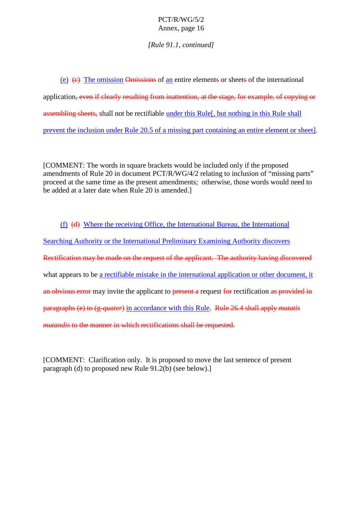*[Rule 91.1, continued]*

(e) (e) Theomission Omissions of an entire element sorsheet softhe international application, even if clearly resulting from inattention, at the stage, for example, of copying or assembling sheets, shall not be rectifiable under this Rule [, but nothing in this Rule shall prevent the inclusion under Rule 20.5 of a missing part containing an entire element or sheet ] .

[COMMENT:The words in square brackets would be included only if the proposed amendments of Rule 20 indocument PCT/R/WG/4/2 relating to inclusion of "missing part s" proceed at the same time as the present amendments; otherwise, those words would need to be added at a later date when Rule 20 is amended.]

(f) (d) Where the receiving Office, the International Bureau, the International Searching Authority or the International Preliminary Examining Authority discovers Rectification may be made on the request of the applicant. The authority having discovered what appears to be are ctifiable mistake in the international application or other document, it anobvious err or may invite the applicant to present a request for rectification as provided inparagraphs (e)to (g-quater) in accordance with this Rule 26.4 shall apply *mutatis mutandis* to the manner in which rectifications shall be requested.

[COMMENT: Clarif ication only. It is proposed to move the last sentence of present  $paragnh(d) toproposed new Rule 91.2(b) (see below).$ ]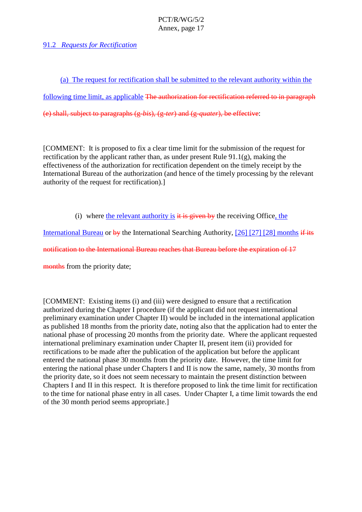#### <span id="page-19-0"></span>91.2 *Requests for Rectification*

(a) The request for rectification shall be submitted to the relevant authority within the following time limit, as applicable Fhe authorization for rectification referred to inparagraph (e) shall, subject to paragraphs (g -*bis*), (g -*ter*) and (g -*quater*), be effective :

[COMMENT: It is proposed to fix a clear time limit for the submission of the request for rectification by the applicant rather than, as under present Rule 91.1(g), making the effectiveness of the authorization for rectification dependent on the timely receipt by the International Bureau of the authorization (and hence of the time lyproces sing by the relevant authority of the request for rectification).]

(i) where the relevant authority is  $i$  tis given by the receiving Office , the

International Bureau or by the International Searching Authority, [26] [27] [28] months if itsnotification to the International Bureau reaches that Bureau before the expiration of 17

months from the priority date;

[COMMENT:Existingitems(i)and(iii)weredesigned to ensure that a rectification authorized during the Chapter I procedure (if the applicant did not request international preliminary examination under Chapter II) would be included in the international application as published 18 months from the priority date, noting also that the application had to enter the national phase of processing 20 months from the priority date. Where the applicant requested international preliminary examination under Chapter II, present item (ii) provided for rectifications to be made after the publication of the application but before the applicant entered the national phase 30 months from the priority date. However, the time limit for entering the national phase under Chapters I and II is now the same, namely, 30 months from the priority date, so it does not seem necessary to maintain the present distinction between Chapters I and II in this respect. It is therefore proposed to link the time limit for rectification to the time for national phase entryinal lcases. Under Chapter I, a time limit towards the end of the 30 month period seems appropriate.]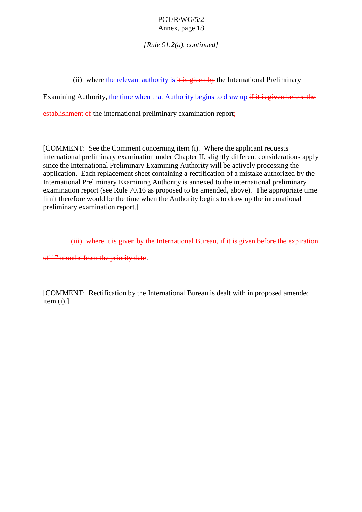*[Rule 91.2(a), conti nued]*

(ii) where the relevant authority is it is given by the International Preliminary

Examining Authority, the time when that Authority begins to draw up if it is given before the

 $estabilish$  mentof the international preliminary examination report  $\ddot{i}$ 

[COMMENT:SeetheComment concerning item (i). Where the applicant requests international preliminary examination under Chapter II, slightly different considerations apply since the International Preliminary Examining Authority will be actively processing the application. Each replacements heet containing a rectification of a mistake authorized by the International Preliminary Examining Authority is annexed to the international preliminary examination report (see Rule 70.16 as proposed to be amended, above). The appropriate time limit therefore would be the time when the Authority begins to draw up the international preliminary examination report.]

(iii) where it is given by the International Bureau, if it is given before the expiration

of 17 months from the priority date.

[COMMENT: Rectification by the International Bureau is dealt with in proposed amended  $item(i).]$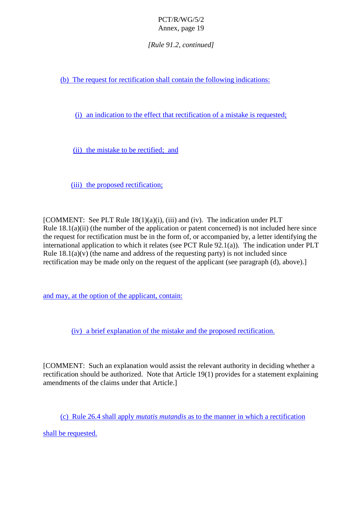*[Rule 91.2, continued]*

(b) The request for rectification shall contain the following indications:

(i) an indication to the effect that recti fication of a mistake is requested;

(ii) the mistake to be rectified; and

(iii) the proposed rectification;

[COMMENT: See PLT Rule 18(1)(a)(i), (iii) and (iv). The indication under PLT Rule  $18.1(a)(ii)$  (the number of the application or patent concerne d) is not included here since the request for rectification must be in the form of, or accompanied by, a letter identifying the international application to which it relates (see PCT Rule 92.1(a)). The indication under PLT Rule  $18.1(a)(v)$  (the name and ad dress of the requesting party) is not included since rectification may be made only on the request of the applicant (see paragraph (d), above).]

and may, at the option of the applicant, contain:

(iv) abrief explanation of the mistake and the proposed rec tification.

[COMMENT:Suchanexplanation would assist the relevant authority indeciding whether a rectification should be authorized. Note that Article 19(1) provides for a statement explaining amendments of the claims under that Article.

(c) Rule 26.4 shall apply *mutatismutandis* as to the manner in which are ctification

shall be requested.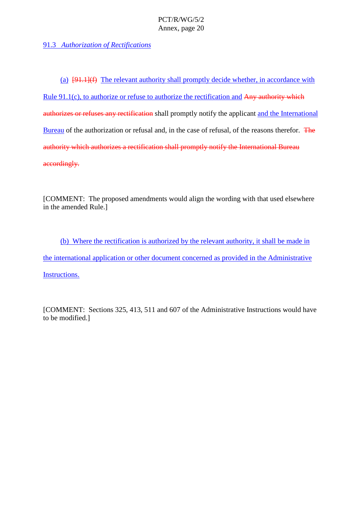<span id="page-22-0"></span>91.3 Authorization of Rectifications

(a)  $[91.1](f)$  The relevant authority shall promptly decide whether, in accordance with Rule 91.1(c), to authorize or r efuse to authorize the rectification and Any authority which authorizes or refuses any rectification shall promptly notify the applicant and the International Bureau of the authorization or refusal and, in the case of refusal, of the reasons therefor. The authority which authorizes are ctificationshall promptly notify the International Bureau accordingly.

[COMMENT:The proposed amendments would align the wording with that used elsewhere in the amended Rule.]

(b) Where the rectification is authorized by the relevant authority, it shall be made in the international application or other document concerned as provided in the Administrative Instructions.

[COMMENT: Sections 325, 413, 511 and 607 of the Administrative Instructions would have to be modified.]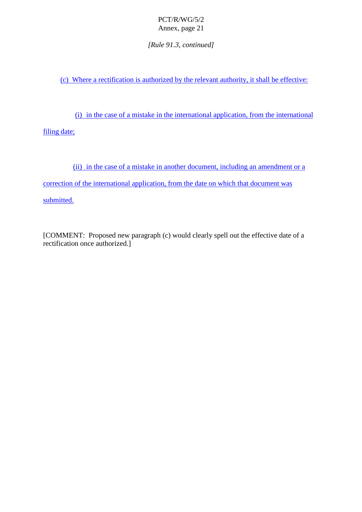*[Rule 91.3, continued]*

(c) Where a rectification is authorized by the relevant authority, it shall be effective:

(i) in the case of a mistake in the international application, from the international

filing date;

(ii) in the case of a mistake in another document, including an amendment or a

correction of the international application, from the date on which that document was

submitted.

[COMMENT: Proposed new paragraph (c) would clearly spell out the effective date of a rectification once authorized.]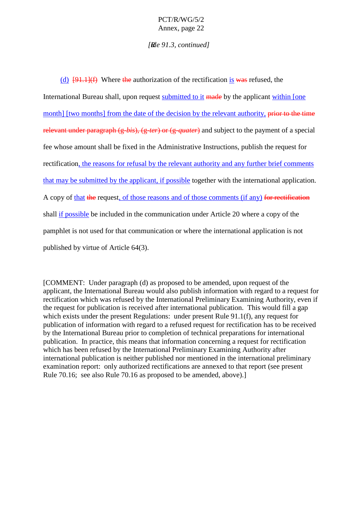#### *[Rule 91.3, continued]*

(d)  $[91,1]$ (f) Where the authorization of the rectification is was refused, the International Bureau shall, upon request submitted to it made by the applicant within [one month] [two months] from the date of the decision by the relev ant authority, prior to the time relevantunder paragraph (g *-bis*), (g -*ter*) or (g-*quater*) and subject to the payment of a special fee whose amount shall be fixed in the Administrative Instructions, publish the request for rectification, the reasons for refu salby the relevant authority and any further brief comments that may be submitted by the applicant, if possible together with the international application. A copy of that the request of those reasons and of those comments (if any) for rectificationshall if possible beincluded in the communication under Article 20 where a copy of the pamphletisnotused for that communication or where the international application is not published by virtue of Article  $64(3)$ .

[COMMENT: Under paragraph (d) as proposed to be amended, upon request of the applicant, the International Bureau would also publish information with regard to a request for rectification which was refused by the International Preliminary Examining Authority, even if the request for publication is received after international publication. This would fill agap which exists under the present Regulations: under present Rule 91.1(f), any request for publication of information with regard to a refuse drequest for rectification has to be received by the International Bureau prior to completion of technical preparations for international publication. In practice, this means that information concerning a request for rectification which has been refused by the International Preliminary Examining Authority after international publication is neither published normentioned in the international preliminary examination report: only authorized rectifications are annexed to that report (see present Rule 70.16; see also Rule 70.16 as proposed to be amended, abo ve).